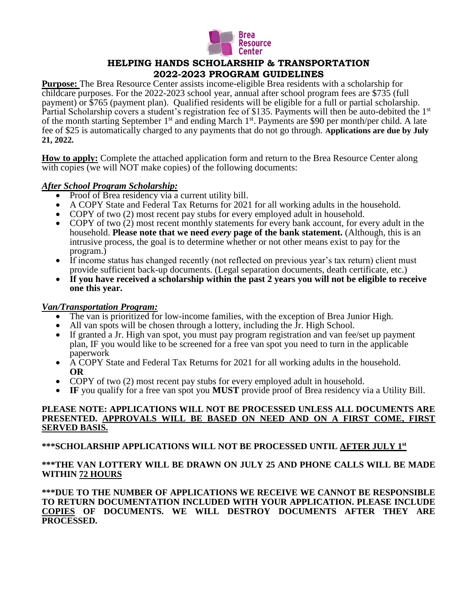

# **HELPING HANDS SCHOLARSHIP & TRANSPORTATION 2022-2023 PROGRAM GUIDELINES**

**Purpose:** The Brea Resource Center assists income-eligible Brea residents with a scholarship for childcare purposes. For the 2022-2023 school year, annual after school program fees are \$735 (full payment) or \$765 (payment plan). Qualified residents will be eligible for a full or partial scholarship. Partial Scholarship covers a student's registration fee of \$135. Payments will then be auto-debited the 1<sup>st</sup> of the month starting September 1<sup>st</sup> and ending March 1<sup>st</sup>. Payments are \$90 per month/per child. A late fee of \$25 is automatically charged to any payments that do not go through. **Applications are due by July 21, 2022.** 

**How to apply:** Complete the attached application form and return to the Brea Resource Center along with copies (we will NOT make copies) of the following documents:

## *After School Program Scholarship:*

- Proof of Brea residency via a current utility bill.
- A COPY State and Federal Tax Returns for 2021 for all working adults in the household.
- COPY of two (2) most recent pay stubs for every employed adult in household.
- COPY of two (2) most recent monthly statements for every bank account, for every adult in the household. **Please note that we need** *every* **page of the bank statement.** (Although, this is an intrusive process, the goal is to determine whether or not other means exist to pay for the program.)
- If income status has changed recently (not reflected on previous year's tax return) client must provide sufficient back-up documents. (Legal separation documents, death certificate, etc.)
- **If you have received a scholarship within the past 2 years you will not be eligible to receive one this year.**

### *Van/Transportation Program:*

- The van is prioritized for low-income families, with the exception of Brea Junior High.
- All van spots will be chosen through a lottery, including the  $\bar{J}r$ . High School.
- If granted a Jr. High van spot, you must pay program registration and van fee/set up payment plan, IF you would like to be screened for a free van spot you need to turn in the applicable paperwork
- A COPY State and Federal Tax Returns for 2021 for all working adults in the household. **OR**
- COPY of two (2) most recent pay stubs for every employed adult in household.
- **IF** you qualify for a free van spot you **MUST** provide proof of Brea residency via a Utility Bill.

### **PLEASE NOTE: APPLICATIONS WILL NOT BE PROCESSED UNLESS ALL DOCUMENTS ARE PRESENTED. APPROVALS WILL BE BASED ON NEED AND ON A FIRST COME, FIRST SERVED BASIS.**

#### **\*\*\*SCHOLARSHIP APPLICATIONS WILL NOT BE PROCESSED UNTIL AFTER JULY 1st**

## **\*\*\*THE VAN LOTTERY WILL BE DRAWN ON JULY 25 AND PHONE CALLS WILL BE MADE WITHIN 72 HOURS**

**\*\*\*DUE TO THE NUMBER OF APPLICATIONS WE RECEIVE WE CANNOT BE RESPONSIBLE TO RETURN DOCUMENTATION INCLUDED WITH YOUR APPLICATION. PLEASE INCLUDE COPIES OF DOCUMENTS. WE WILL DESTROY DOCUMENTS AFTER THEY ARE PROCESSED.**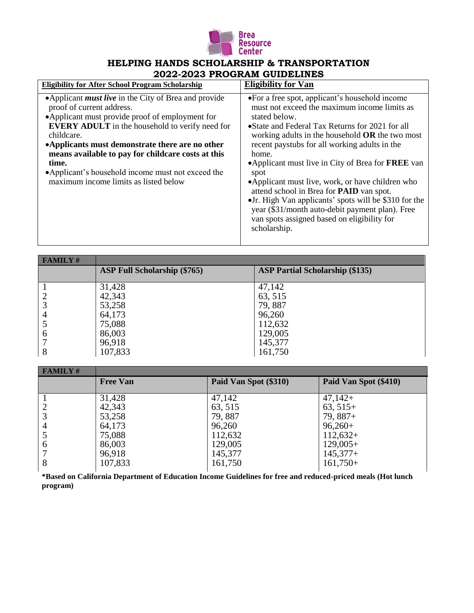

# **HELPING HANDS SCHOLARSHIP & TRANSPORTATION 2022-2023 PROGRAM GUIDELINES**

| <b>Eligibility for After School Program Scholarship</b>                                                                                                                                                                                                                                                                                                                                                                             | <b>Eligibility for Van</b>                                                                                                                                                                                                                                                                                                                                                                                                                                                                                                                                                                                                         |
|-------------------------------------------------------------------------------------------------------------------------------------------------------------------------------------------------------------------------------------------------------------------------------------------------------------------------------------------------------------------------------------------------------------------------------------|------------------------------------------------------------------------------------------------------------------------------------------------------------------------------------------------------------------------------------------------------------------------------------------------------------------------------------------------------------------------------------------------------------------------------------------------------------------------------------------------------------------------------------------------------------------------------------------------------------------------------------|
| •Applicant <i>must live</i> in the City of Brea and provide<br>proof of current address.<br>•Applicant must provide proof of employment for<br><b>EVERY ADULT</b> in the household to verify need for<br>childcare.<br>•Applicants must demonstrate there are no other<br>means available to pay for childcare costs at this<br>time.<br>•Applicant's household income must not exceed the<br>maximum income limits as listed below | • For a free spot, applicant's household income<br>must not exceed the maximum income limits as<br>stated below.<br>•State and Federal Tax Returns for 2021 for all<br>working adults in the household $OR$ the two most<br>recent paystubs for all working adults in the<br>home.<br>•Applicant must live in City of Brea for <b>FREE</b> van<br>spot<br>•Applicant must live, work, or have children who<br>attend school in Brea for PAID van spot.<br>• Jr. High Van applicants' spots will be \$310 for the<br>year (\$31/month auto-debit payment plan). Free<br>van spots assigned based on eligibility for<br>scholarship. |

| <b>FAMILY#</b> |                                     |                                        |
|----------------|-------------------------------------|----------------------------------------|
|                | <b>ASP Full Scholarship (\$765)</b> | <b>ASP Partial Scholarship (\$135)</b> |
|                |                                     |                                        |
|                | 31,428                              | 47,142                                 |
|                | 42,343                              | 63, 515                                |
|                | 53,258                              | 79,887                                 |
| 4              | 64,173                              | 96,260                                 |
|                | 75,088                              | 112,632                                |
| 6              | 86,003                              | 129,005                                |
|                | 96,918                              | 145,377                                |
| 8              | 107,833                             | 161,750                                |

| <b>FAMILY#</b> |                 |                       |                       |
|----------------|-----------------|-----------------------|-----------------------|
|                | <b>Free Van</b> | Paid Van Spot (\$310) | Paid Van Spot (\$410) |
|                |                 |                       |                       |
|                | 31,428          | 47,142                | $47,142+$             |
|                | 42,343          | 63, 515               | $63,515+$             |
|                | 53,258          | 79,887                | $79,887+$             |
| $\overline{4}$ | 64,173          | 96,260                | $96,260+$             |
|                | 75,088          | 112,632               | $112,632+$            |
| 6              | 86,003          | 129,005               | $129,005+$            |
|                | 96,918          | 145,377               | $145,377+$            |
| 8              | 107,833         | 161,750               | $161,750+$            |
|                |                 |                       |                       |

**\*Based on California Department of Education Income Guidelines for free and reduced-priced meals (Hot lunch program)**